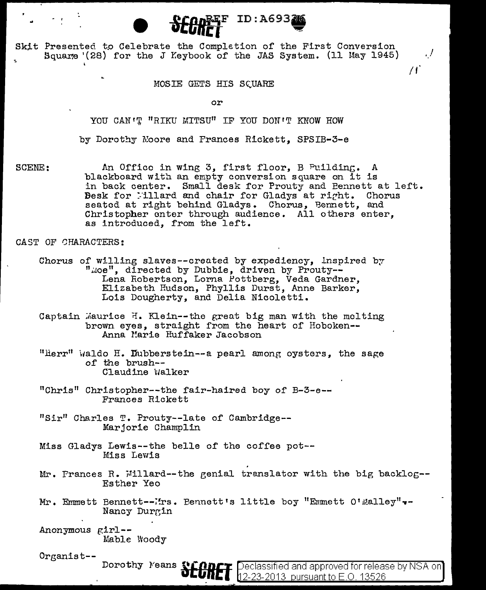Skit Presented to Celebrate the Completion of the First Conversion Square (28) for the J Keybook of the JAS System. (11 May 1945)

## MOSIE GETS HIS SCUARE

 $FID: A6932$ 

 $\cdot$  /

 $\overline{H}$ 

or

YOU CAN'T "RIKU MITSU" IF YOU DON'T KNOW HOW

by Dorothy Moore and Frances Rickett. SPSIB-3-e

SCENE: An Office in wing 3, first floor, B Puilding. A blackboard with an empty conversion square on it is in back center. Small desk for Prouty and Bennett at left. Besk for Millard and chair for Gladys at right. Chorus seated at right behind Gladys. Chorus, Bennett, and Christopher enter through audience. All others enter, as introduced. from the left.

CAST OF CHARACTERS:

- Chorus of willing slaves--created by expediency, inspired by "moe", directed by Dubbie, driven by Prouty--Lena Robertson, Lorna Pottberg, Veda Gardner, Elizabeth Hudson, Phyllis Durst, Anne Barker, Lois Dougherty, and Delia Nicoletti.
- Captain Maurice H. Klein--the great big man with the melting brown eyes, straight from the heart of Hoboken--Anna Marie Huffaker Jacobson
- "Herr" waldo H. Dubberstein--a pearl among oysters, the sage of the brush--Claudine Walker
- "Chris" Christopher--the fair-haired boy of B-3-e--Frances Rickett
- "Sir" Charles T. Prouty--late of Cambridge--Marjorie Champlin
- Miss Gladys Lewis--the belle of the coffee pot--Miss Lewis
- Mr. Frances R. Millard--the genial translator with the big backlog--Esther Yeo
- Mr. Emmett Bennett--Irs. Bennett's little boy "Emmett O'Malley". Nancy Durgin
- Anonymous girl--Mable Woody

Dorothy Means

 $O$ rganist--

Declassified and approved for release by NSA on]  $12-23-2013$  pursuant to E.O. 13526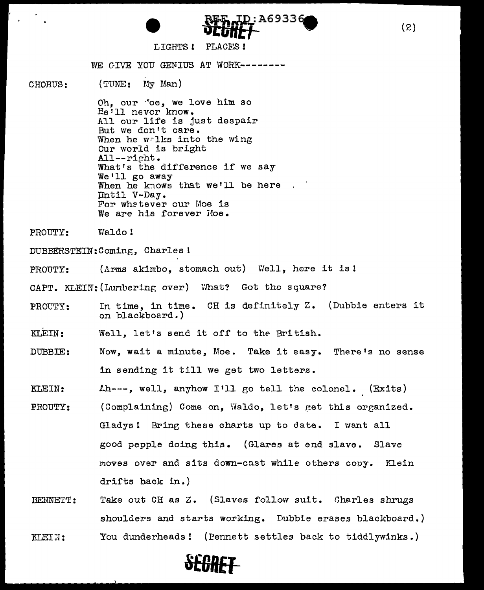

## LIGHTS 1 PLACES !

WE GIVE YOU GENIUS AT WORK--------

CHORUS: (TUNE: My Man)

> Oh, our 'oe, we love him so He'll never know. All our life is just despair But we don't care. When he walks into the wing Our world is bright All--right. What's the difference if we say<br>We'll go away When he knows that we'll be here  $\ldots$ Until V-Day. For whatever our Moe is We are his forever Hoe.

PROUTY: Waldo !

DUBBERSTEIN:Coming, Charlesl

PROUTY: (Arms akimbo, stomach out) Well, here it is!

CAPT. KLEIN: (Lunbering over) \'/hat? Got the square?

PROUTY: In time, in time. CH is definitely z. (Dubbie enters it on blackboard.)

KLEIN: Well, let's send it off to the British.

DUBBIE: Now, wait a minute, Moe. Take it easy. There's no sense in sending it till we get two letters.

KLEIN: Lh---, well, anyhow I'll go tell the colonel. (Exits)

- PROUTY: (Complaining) Come on. Waldo. let's get this organized. Gladys! Brine these charts up to date. I want all good pepple doing this. (Glares at end slave. Slave moves over and sits down-cast while others copy. Klein drifts back in.)
- BENNETT: KLEIN: Take out CH as Z. (Slaves follow suit. Charles shrugs shoulders and starts working. Dubbie erases blackboard.) You dunderheads! (Eennett settles back to tiddlywinks.)



(2)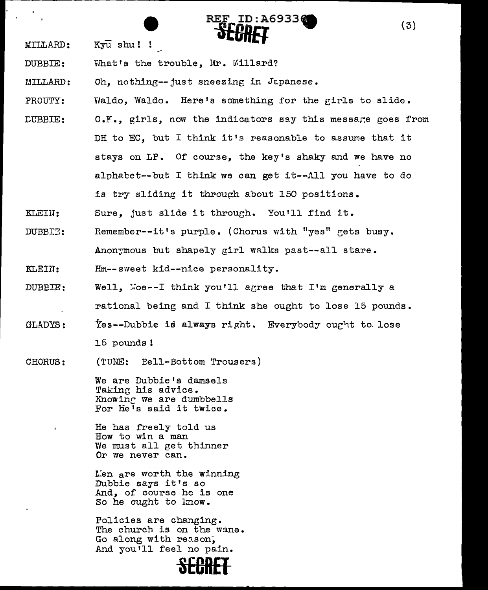- MILLARD: Kyu shu ! !
- DUBBIE: What's the trouble. Mr. Willard?
- r.nLLARD: Oh, nothing--just sneezing in Japanese.

PROUTY: Waldo, Waldo. Here's something for the girls to slide.

ID:A69336

- :CUBBIE: O.Y., girls, now the indicators say this message goes from DH to EC, but I think it's reasonable to assume that it stays on LP. Of course, the key's shaky and we have no alphacet--but I think we can get it--All you have to do is try sliding it through about 150 positions.
- KLEIU: Sure, just slide it through. You'll find it.
- DUBBI<sup>-</sup>: Remember--it's purple. (Chorus with "yes" gets busy. Anonymous but shapely girl walks past--all stare.
- KLEDT: Hm--sweet kid--nice personality.
- DUBBIE: Well.  $\text{Ker-I}$  think you'll agree that I'm generally a rational being and I think she ought to lose 15 pounds.
- GLADYS: Yes--Dubbie is always right. Everybody ought to lose 15 pounds!
- CHORUS: (TUNE: Bell-Bottom Trousers)

We are Dubbie's damsels Taking his advice. Knowinc we are dumbbells For He's said it twice.

He has freely told us How to win a man We must all get thinner Or we never can.

Len are worth the winning Dubbie says it's so And, of course he is one So he ought to lmow.

Policies are changing. The church is on the wane. Go along with reason, And you'll feel no pain.



(3)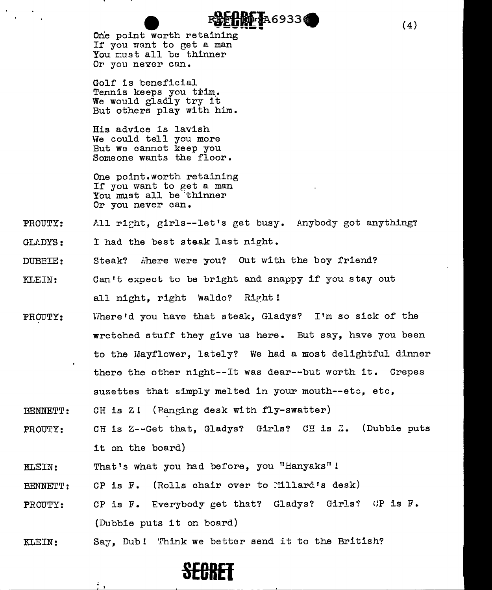one point worth retaining 2869336 If you want to get a man You must all be thinner Or you never can.

Golf is beneficial Tennis keeps you trim. We would gladly try it But others play with him.

His advice is lavish We could tell you more But we cannot keep you Someone wants the floor.

One point.worth retaining If you want to get a man You must all be 'thinner Or you never can.

### PROUTY: All right, girls--let's get busy. Anybody got anything?

- GU.DYS: <sup>I</sup>had the best staak last night.
- DUBEIE: Steak? …here were you? Out with the boy friend?
- r:LEIN: Can't expect to be bright and snappy if you stay out all night, right waldo? Right!
- PROUTY: Where'd you have that steak, Gladys? I'm so sick of the wretched stuff they give us here. But say, have you been to the Mayflower, lately? We had a most delightful dinner there the other night--It was dear--but worth it. Crepes suzettes that simply melted in your mouth--etc, etc,
- DENNETT: CH is Zl (Ranging desk with fly-swatter)
- PROUTY: CH is Z--Get that, Gladys? Girls? CH is *Z.* (Dubbie puts it on the board)
- KLEIN: That's what you had before, you "Hanyaks" l

 $\mathbb{Z}_2$ 

- BENNETT: CP is F. (Rolls chair over to :illard's desk)
- PROUTY: CP is F. Everybody get that? Gladys? Girls? CP is F. (Dubbie puts it on board)
- KLEIN: Say, Dub! Think we better send it to the British?



(4}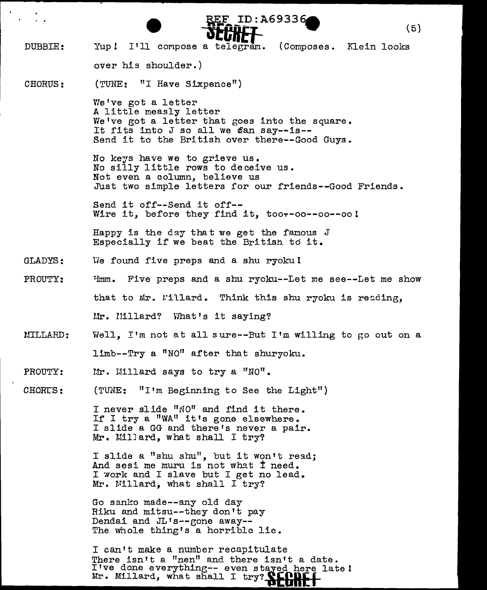- DUBBIE: CHORUS: GLADYS: PROUTY: UILLARD: **e** ~:e:\_\_ID: A693369 (5) Yup! **-atCREf-**I'll compose a telegram. (Composes. Klein looks over his shoulder.) (TUNE: "I Have Sixpence") We've got a letter A little measly letter We've got a letter that goes into the square. It fits into J so all we  $\ell$ an say--is--Send it to the British over there--Good Guys. No keys have we to grieve us. No silly little rows to deceive us. Not even a column, believe us Just two simple letters for our friends--Good Friends. Send it off--Send it off-- Wire it, before they find it, too--oo--oo--oo! Happy is the day that we get the famous  $J$ Especially if we beat the British td it. We found five preps and a shu ryoku !  $H_{mm}$ . Five preps and a shu ryoku--Let me see--Let me show that to Mr. Willard. Think this shu ryoku is reading, Mr. Hillard? What's it saying? Well. I'm not at all sure--But I'm willing to go out on a limb--Try a "NO" after that shuryoku.
- PROUTY:  $Mr.$  Hillard says to try a "NO".

CHORUS: (TUNE:  $"I'm$  Beginning to See the Light")

> I never slide "NO" and find it there. If I try a "WA" it's gone elsewhere. I slide a GG and there's never a pair. Mr. MilJ ard, what shall I try?

I slide a "shu shu", but it won't read; And sesi me muru is not what I need. I work and I slave but I get no lead. Mr. Millard, what shall I try?

Go sanko made--any old day Riku and mitsu--they don't pay Dendai and  $J_{L}$ 's--gone away--The whole thing's a horrible lie.

I can't make a number recapitulate There isn't a "nen" and there isn't a date. I've done everything -- even stayed here late! I'Ve done every what shall I try? **WEGHT**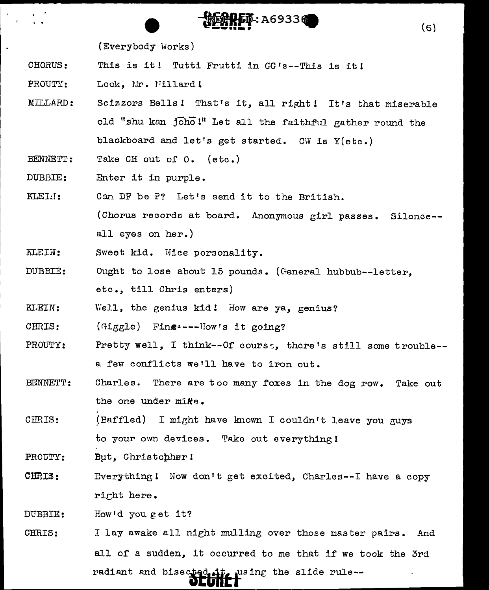(Everybody Works)

- CHORUS: This *is* it! Tutti Frutti in GG's--This is it!
- PROUTY: Look. Mr. Fillard!
- .M:ILT .. ARD *:*  Scizzors Bells! That's it, all right! It's that miserable old "shu kan joho !" Let all the faithful gather round the blackboard and let's get started. CW is Y(etc.)

 $\overline{\mathbf{B}}$  : A69336

 $\mathbf{F}$ 

BENNETT: Take CH out of O. (etc.)

DUBBIE: Enter it in purple.

- KLEI.': Can DF be P? Let's send it to the British. (Chorus records at board. Anonymous girl passes. Silence- all eyes on her.)
- KLEIN: Sweet kid. Nice personality.
- DUBBIE: Ought to lose about 15 pounds. (General hubbub--letter, etc., till Chris enters)
- KLEIN: Viell, the genius kid! How are ya, genius?

CHRIS:  $(finggle)$  Fine----How's it going?

- PROUTY: Pretty well, I think--Of course, there's still some trouble-a few conflicts we'll have to iron out.
- BENNETT: Charles. There are too many foxes in the dog row. Take out the one under mike.
- CHRIS:  $(Baffled)$  I might have known I couldn't leave you guys to your own devices. Take out everything!

PROUTY: Bµt, Christopher!

CHRIS: Everything! Now don't get excited, Charles--I have a copy richt here.

DUBBIE: How'd you get it?

CHRIS: I lay awake all nieht mulling over those master pairs. And all of a sudden, it occurred to me that if we took the 3rd radiant and bisected it, using the slide rule--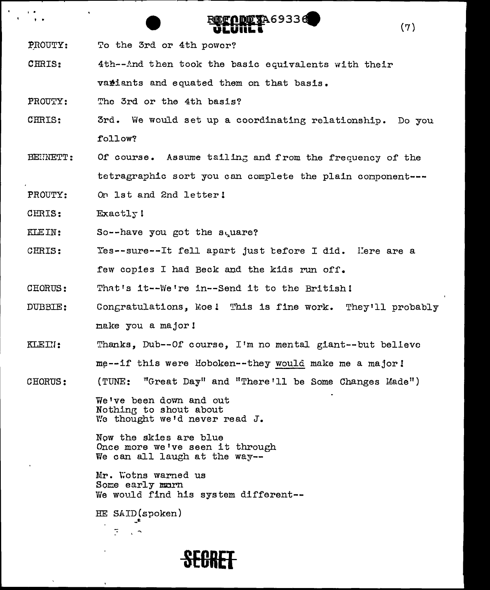PROUTY: To the 3rd or 4th power?

CHRIS: 4th--And then took the basic equivalents with their variants and equated them on that basis.

The 3rd or the 4th basis? PROUTY:

3rd. We would set up a coordinating relationship. Do you CHRIS: follow?

DO TA69336

 $(7)$ 

Of course. Assume tailing and from the frequency of the BEHNETT: tetragraphic sort you can complete the plain component ---

PROUTY: On 1st and 2nd letter!

CHRIS: Exactly!

KLEIN: So--have you got the square?

Yes--sure--It fell apart just before I did. Here are a CHRIS: few copies I had Beck and the kids run off.

That's it -- We're in -- Send it to the British! CHORUS:

- DUBBIE: Congratulations, Moe! This is fine work. They'll probably make you a major!
- Thanks, Dub--Of course, I'm no mental giant--but believe KLEIN: me--if this were Hoboken--they would make me a major!
- "Great Day" and "There'll be Some Changes Made") CHORUS:  $(TUNE:$

We've been down and out Nothing to shout about We thought we'd never read J.

Now the skies are blue Once more we've seen it through We can all laugh at the way--

Mr. Wotns warned us Some early marn We would find his system different --

HE SAID(spoken)

 $\sim$   $\sim$ 

 $\overline{\mathbb{R}}$